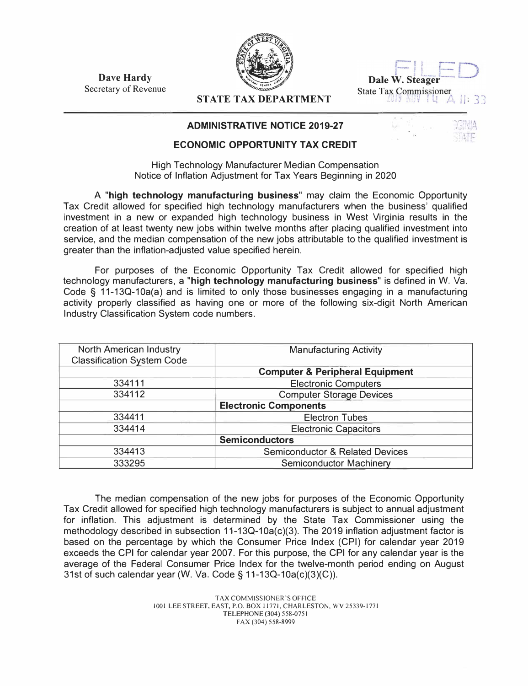**Dave Hardy**  Secretary of Revenue



| Dale W. Steager        |  |  |  |
|------------------------|--|--|--|
| State Tax Commissioner |  |  |  |

## **STATE TAX DEPARTMENT**

## **ADMINISTRATIVE NOTICE 2019-27**

## **ECONOMIC OPPORTUNITY TAX CREDIT**

High Technology Manufacturer Median Compensation Notice of Inflation Adjustment for Tax Years Beginning in 2020

A **"high technology manufacturing business"** may claim the Economic Opportunity Tax Credit allowed for specified high technology manufacturers when the business' qualified investment in a new or expanded high technology business in West Virginia results in the creation of at least twenty new jobs within twelve months after placing qualified investment into service, and the median compensation of the new jobs attributable to the qualified investment is greater than the inflation-adjusted value specified herein.

For purposes of the Economic Opportunity Tax Credit allowed for specified high technology manufacturers, a **"high technology manufacturing business"** is defined in W. Va. Code § 11-13Q-10a(a) and is limited to only those businesses engaging in a manufacturing activity properly classified as having one or more of the following six-digit North American Industry Classification System code numbers.

| North American Industry<br><b>Classification System Code</b> | <b>Manufacturing Activity</b>              |  |
|--------------------------------------------------------------|--------------------------------------------|--|
|                                                              | <b>Computer &amp; Peripheral Equipment</b> |  |
| 334111                                                       | <b>Electronic Computers</b>                |  |
| 334112                                                       | <b>Computer Storage Devices</b>            |  |
|                                                              | <b>Electronic Components</b>               |  |
| 334411                                                       | <b>Electron Tubes</b>                      |  |
| 334414                                                       | <b>Electronic Capacitors</b>               |  |
|                                                              | <b>Semiconductors</b>                      |  |
| 334413                                                       | <b>Semiconductor &amp; Related Devices</b> |  |
| 333295                                                       | <b>Semiconductor Machinery</b>             |  |

The median compensation of the new jobs for purposes of the Economic Opportunity Tax Credit allowed for specified high technology manufacturers is subject to annual adjustment for inflation. This adjustment is determined by the State Tax Commissioner using the methodology described in subsection  $11-13Q-10a(c)(3)$ . The 2019 inflation adjustment factor is based on the percentage by which the Consumer Price Index (CPI) for calendar year 2019 exceeds the CPI for calendar year 2007. For this purpose, the CPI for any calendar year is the average of the Federal Consumer Price Index for the twelve-month period ending on August 31st of such calendar year (W. Va. Code§ 11-13Q-10a(c)(3)(C)).